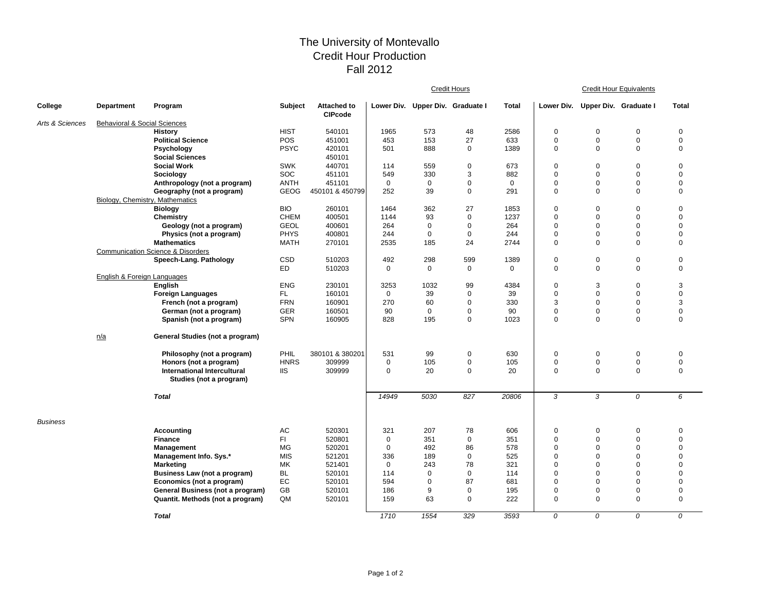## The University of Montevallo Credit Hour Production Fall 2012

|                 |                                         |                                                               |             |                                      | <b>Credit Hours</b> |                                  |             |              | <b>Credit Hour Equivalents</b> |                                  |                |                |  |
|-----------------|-----------------------------------------|---------------------------------------------------------------|-------------|--------------------------------------|---------------------|----------------------------------|-------------|--------------|--------------------------------|----------------------------------|----------------|----------------|--|
| College         | <b>Department</b>                       | Program                                                       | Subject     | <b>Attached to</b><br><b>CIPcode</b> |                     | Lower Div. Upper Div. Graduate I |             | <b>Total</b> |                                | Lower Div. Upper Div. Graduate I |                | <b>Total</b>   |  |
| Arts & Sciences | <b>Behavioral &amp; Social Sciences</b> |                                                               |             |                                      |                     |                                  |             |              |                                |                                  |                |                |  |
|                 |                                         | <b>History</b>                                                | <b>HIST</b> | 540101                               | 1965                | 573                              | 48          | 2586         | 0                              | $\mathbf 0$                      | $\mathbf 0$    | 0              |  |
|                 |                                         | <b>Political Science</b>                                      | POS         | 451001                               | 453                 | 153                              | 27          | 633          | 0                              | $\mathbf 0$                      | $\mathbf 0$    | $\mathbf 0$    |  |
|                 |                                         | Psychology                                                    | <b>PSYC</b> | 420101                               | 501                 | 888                              | $\mathbf 0$ | 1389         | 0                              | $\mathbf 0$                      | $\mathbf 0$    | $\mathbf 0$    |  |
|                 |                                         | <b>Social Sciences</b>                                        |             | 450101                               |                     |                                  |             |              |                                |                                  |                |                |  |
|                 |                                         | <b>Social Work</b>                                            | <b>SWK</b>  | 440701                               | 114                 | 559                              | $\mathbf 0$ | 673          | $\mathbf 0$                    | $\mathbf 0$                      | $\mathbf 0$    | 0              |  |
|                 |                                         | Sociology                                                     | SOC         | 451101                               | 549                 | 330                              | 3           | 882          | 0                              | $\mathbf 0$                      | $\mathbf 0$    | 0              |  |
|                 |                                         | Anthropology (not a program)                                  | ANTH        | 451101                               | $\mathbf 0$         | $\mathbf 0$                      | $\mathbf 0$ | $\mathbf 0$  | 0                              | $\mathbf 0$                      | $\Omega$       | $\Omega$       |  |
|                 |                                         | Geography (not a program)                                     | GEOG        | 450101 & 450799                      | 252                 | 39                               | $\mathbf 0$ | 291          | $\mathbf 0$                    | $\mathbf 0$                      | $\Omega$       | $\mathbf 0$    |  |
|                 |                                         | Biology, Chemistry, Mathematics                               |             |                                      |                     |                                  |             |              |                                |                                  |                |                |  |
|                 |                                         | <b>Biology</b>                                                | <b>BIO</b>  | 260101                               | 1464                | 362                              | 27          | 1853         | 0                              | $\pmb{0}$                        | $\overline{0}$ | 0              |  |
|                 |                                         | Chemistry                                                     | <b>CHEM</b> | 400501                               | 1144                | 93                               | $\mathbf 0$ | 1237         | 0                              | $\mathbf 0$                      | $\overline{0}$ | 0              |  |
|                 |                                         | Geology (not a program)                                       | <b>GEOL</b> | 400601                               | 264                 | 0                                | $\mathbf 0$ | 264          | 0                              | $\mathbf 0$                      | $\mathbf 0$    | 0              |  |
|                 |                                         | Physics (not a program)                                       | <b>PHYS</b> | 400801                               | 244                 | 0                                | $\mathbf 0$ | 244          | 0                              | $\mathbf 0$                      | $\Omega$       | $\Omega$       |  |
|                 |                                         | <b>Mathematics</b>                                            | <b>MATH</b> | 270101                               | 2535                | 185                              | 24          | 2744         | $\mathbf 0$                    | $\mathbf 0$                      | $\Omega$       | $\mathbf 0$    |  |
|                 |                                         | <b>Communication Science &amp; Disorders</b>                  |             |                                      |                     |                                  |             |              |                                |                                  |                |                |  |
|                 |                                         | Speech-Lang. Pathology                                        | <b>CSD</b>  | 510203                               | 492                 | 298                              | 599         | 1389         | 0                              | $\mathbf 0$                      | 0              | 0              |  |
|                 |                                         |                                                               | ED          | 510203                               | $\mathbf 0$         | 0                                | 0           | 0            | 0                              | $\mathsf 0$                      | $\mathbf 0$    | 0              |  |
|                 | English & Foreign Languages             |                                                               |             |                                      |                     |                                  |             |              |                                |                                  |                |                |  |
|                 |                                         | English                                                       | <b>ENG</b>  | 230101                               | 3253                | 1032                             | 99          | 4384         | 0                              | 3                                | $\mathbf 0$    | 3              |  |
|                 |                                         | <b>Foreign Languages</b>                                      | FL.         | 160101                               | $\mathbf 0$         | 39                               | $\mathbf 0$ | 39           | 0                              | $\mathbf 0$                      | $\mathbf 0$    | $\mathbf 0$    |  |
|                 |                                         | French (not a program)                                        | <b>FRN</b>  | 160901                               | 270                 | 60                               | $\mathbf 0$ | 330          | 3                              | $\mathbf 0$                      | $\mathbf 0$    | 3              |  |
|                 |                                         | German (not a program)                                        | <b>GER</b>  | 160501                               | 90                  | $\mathbf 0$                      | $\mathbf 0$ | 90           | 0                              | $\pmb{0}$                        | $\mathbf 0$    | 0              |  |
|                 |                                         | Spanish (not a program)                                       | <b>SPN</b>  | 160905                               | 828                 | 195                              | $\mathbf 0$ | 1023         | $\mathbf 0$                    | $\mathbf 0$                      | 0              | 0              |  |
|                 | n/a                                     | General Studies (not a program)                               |             |                                      |                     |                                  |             |              |                                |                                  |                |                |  |
|                 |                                         | Philosophy (not a program)                                    | PHIL        | 380101 & 380201                      | 531                 | 99                               | $\pmb{0}$   | 630          | 0                              | $\mathbf 0$                      | 0              | 0              |  |
|                 |                                         | Honors (not a program)                                        | <b>HNRS</b> | 309999                               | $\mathbf 0$         | 105                              | $\pmb{0}$   | 105          | 0                              | $\pmb{0}$                        | $\pmb{0}$      | $\pmb{0}$      |  |
|                 |                                         | <b>International Intercultural</b><br>Studies (not a program) | <b>IIS</b>  | 309999                               | $\mathbf 0$         | 20                               | $\mathbf 0$ | 20           | $\mathbf 0$                    | $\mathbf 0$                      | $\mathbf 0$    | $\mathbf 0$    |  |
|                 |                                         | <b>Total</b>                                                  |             |                                      | 14949               | 5030                             | 827         | 20806        | 3                              | 3                                | 0              | 6              |  |
| <b>Business</b> |                                         |                                                               |             |                                      |                     |                                  |             |              |                                |                                  |                |                |  |
|                 |                                         | <b>Accounting</b>                                             | AC          | 520301                               | 321                 | 207                              | 78          | 606          | 0                              | $\mathbf 0$                      | $\mathbf 0$    | 0              |  |
|                 |                                         | <b>Finance</b>                                                | FI.         | 520801                               | $\mathbf 0$         | 351                              | $\mathbf 0$ | 351          | 0                              | $\mathbf 0$                      | $\mathbf 0$    | $\pmb{0}$      |  |
|                 |                                         | Management                                                    | MG          | 520201                               | $\mathbf 0$         | 492                              | 86          | 578          | $\mathbf 0$                    | $\mathbf 0$                      | $\mathbf 0$    | $\mathbf 0$    |  |
|                 |                                         | Management Info. Sys.*                                        | <b>MIS</b>  | 521201                               | 336                 | 189                              | $\mathbf 0$ | 525          | $\mathbf 0$                    | $\mathbf 0$                      | $\Omega$       | 0              |  |
|                 |                                         | <b>Marketing</b>                                              | МK          | 521401                               | 0                   | 243                              | 78          | 321          | 0                              | $\mathbf 0$                      | $\Omega$       | 0              |  |
|                 |                                         | Business Law (not a program)                                  | <b>BL</b>   | 520101                               | 114                 | 0                                | $\mathbf 0$ | 114          | $\Omega$                       | $\mathbf 0$                      | $\Omega$       | $\Omega$       |  |
|                 |                                         | Economics (not a program)                                     | EC          | 520101                               | 594                 | 0                                | 87          | 681          | $\mathbf 0$                    | $\mathbf 0$                      | $\Omega$       | $\Omega$       |  |
|                 |                                         | General Business (not a program)                              | GB          | 520101                               | 186                 | 9                                | $\mathbf 0$ | 195          | 0                              | $\mathbf 0$                      | $\mathbf 0$    | 0              |  |
|                 |                                         | Quantit. Methods (not a program)                              | QM          | 520101                               | 159                 | 63                               | $\mathbf 0$ | 222          | $\mathbf 0$                    | $\mathbf 0$                      | $\Omega$       | $\overline{0}$ |  |
|                 |                                         | <b>Total</b>                                                  |             |                                      | 1710                | 1554                             | 329         | 3593         | 0                              | 0                                | 0              | 0              |  |